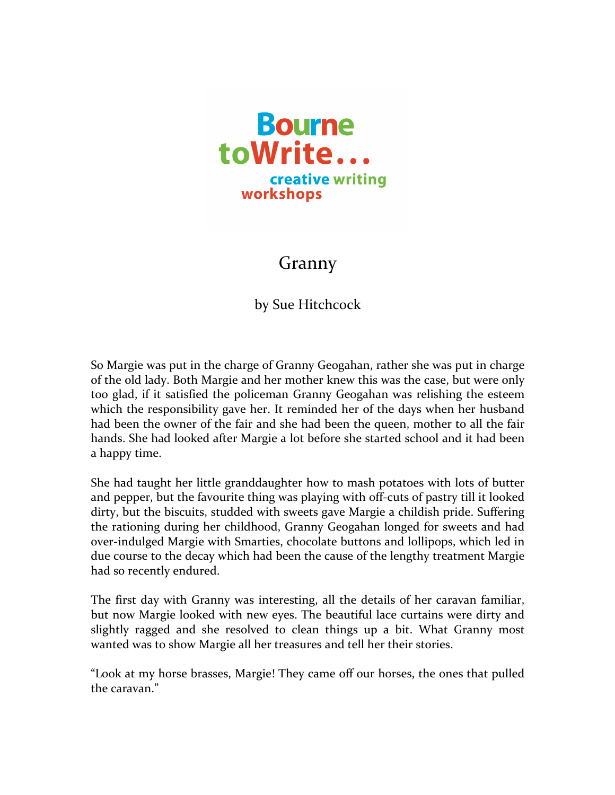

## Granny

by Sue Hitchcock

So Margie was put in the charge of Granny Geogahan, rather she was put in charge of the old lady. Both Margie and her mother knew this was the case, but were only too glad, if it satisfied the policeman Granny Geogahan was relishing the esteem which the responsibility gave her. It reminded her of the days when her husband had been the owner of the fair and she had been the queen, mother to all the fair hands. She had looked after Margie a lot before she started school and it had been a happy time.

She had taught her little granddaughter how to mash potatoes with lots of butter and pepper, but the favourite thing was playing with off-cuts of pastry till it looked dirty, but the biscuits, studded with sweets gave Margie a childish pride. Suffering the rationing during her childhood, Granny Geogahan longed for sweets and had over-indulged Margie with Smarties, chocolate buttons and lollipops, which led in due course to the decay which had been the cause of the lengthy treatment Margie had so recently endured.

The first day with Granny was interesting, all the details of her caravan familiar, but now Margie looked with new eyes. The beautiful lace curtains were dirty and slightly ragged and she resolved to clean things up a bit. What Granny most wanted was to show Margie all her treasures and tell her their stories.

"Look at my horse brasses, Margie! They came off our horses, the ones that pulled the caravan."